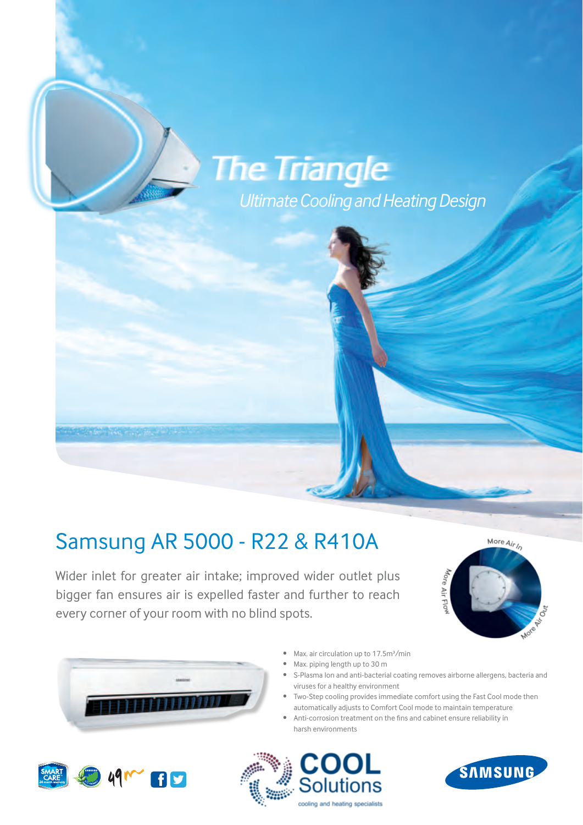## NEW **Inverter Light**

*Ultimate Cooling and Heating Design*

## Samsung AR 5000 - R22 & R410A

**Samsung is thrilled to introduce the new Inverter Light.**  every corner of your room with no blind spots. Wider inlet for greater air intake; improved wider outlet plus bigger fan ensures air is expelled faster and further to reach





- Max. air circulation up to 17.5m<sup>3</sup>/min
- Max. piping length up to 30 m
- S-Plasma Ion and anti-bacterial coating removes airborne allergens, bacteria and viruses for a healthy environment
- Two-Step cooling provides immediate comfort using the Fast Cool mode then automatically adjusts to Comfort Cool mode to maintain temperature
- **Example Toy Capeter of Commerce Commerce Commerce Town Competence**<br>• Anti-corrosion treatment on the fins and cabinet ensure reliability in harsh environments

**The advantages of an inverter,**

**at an affordable price.**